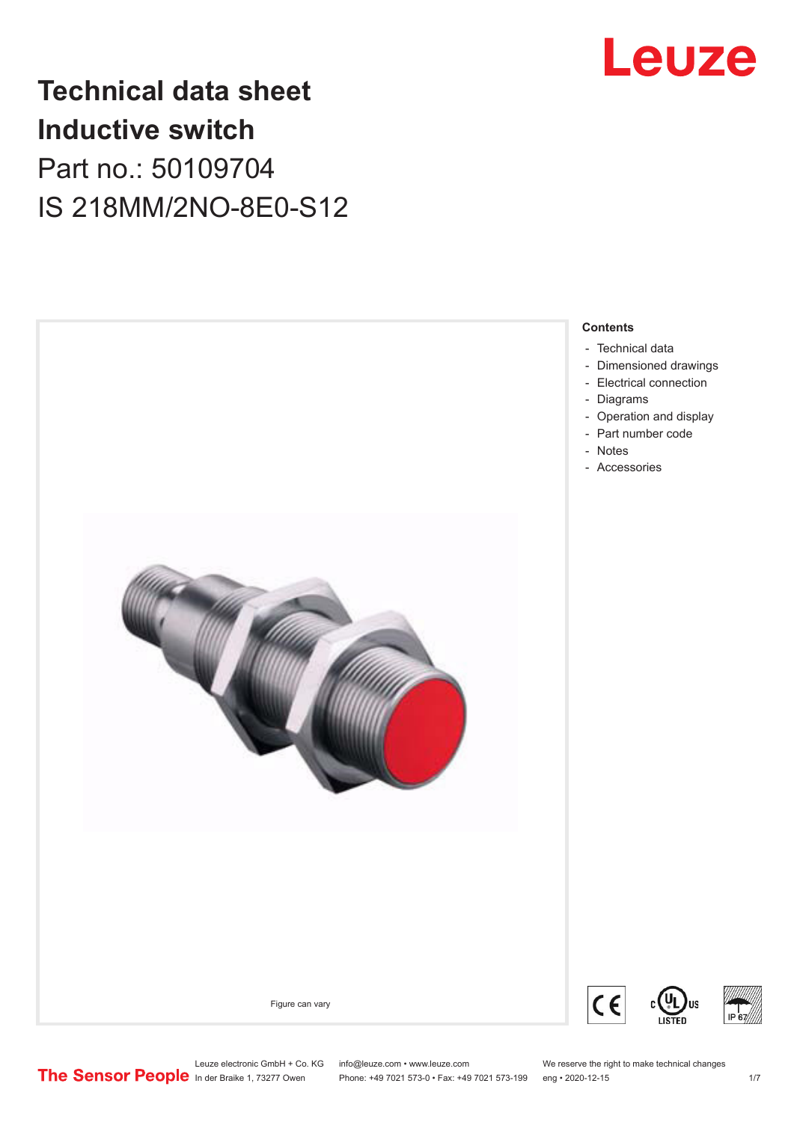

## **Technical data sheet Inductive switch** Part no.: 50109704 IS 218MM/2NO-8E0-S12



#### **Contents**

- [Technical data](#page-1-0)
- [Dimensioned drawings](#page-2-0)
- [Electrical connection](#page-2-0)
- [Operation and display](#page-3-0)
- [Part number code](#page-3-0)
- [Accessories](#page-5-0)

Figure can vary





Leuze electronic GmbH + Co. KG info@leuze.com • www.leuze.com We reserve the right to make technical changes<br>
The Sensor People in der Braike 1, 73277 Owen Phone: +49 7021 573-0 • Fax: +49 7021 573-199 eng • 2020-12-15

Phone: +49 7021 573-0 • Fax: +49 7021 573-199 eng • 2020-12-15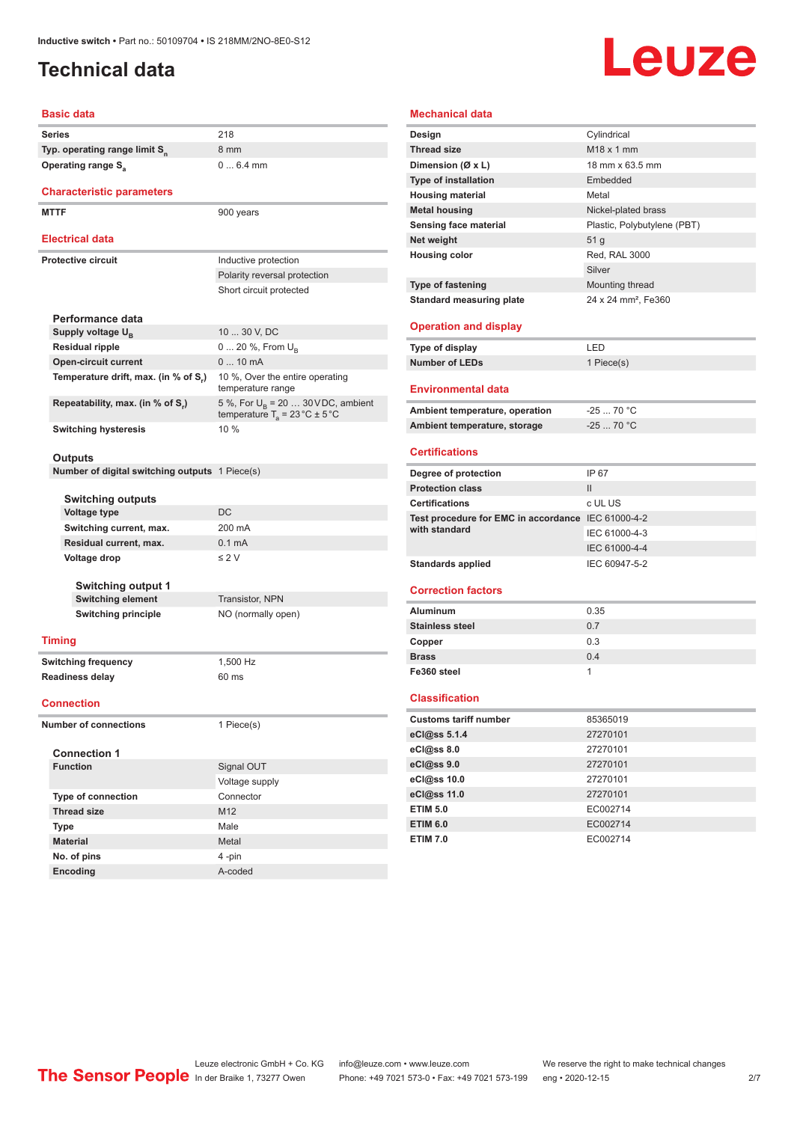### <span id="page-1-0"></span>**Technical data**

# **Leuze**

#### **Basic data**

| <b>Dasic data</b>                                                   |                                                                                          |
|---------------------------------------------------------------------|------------------------------------------------------------------------------------------|
| <b>Series</b>                                                       | 218                                                                                      |
| Typ. operating range limit S <sub>n</sub>                           | 8 mm                                                                                     |
| Operating range S <sub>a</sub>                                      | $06.4$ mm                                                                                |
|                                                                     |                                                                                          |
| <b>Characteristic parameters</b>                                    |                                                                                          |
| <b>MTTF</b>                                                         | 900 years                                                                                |
| Electrical data                                                     |                                                                                          |
| <b>Protective circuit</b>                                           | Inductive protection                                                                     |
|                                                                     | Polarity reversal protection                                                             |
|                                                                     | Short circuit protected                                                                  |
|                                                                     |                                                                                          |
| Performance data                                                    |                                                                                          |
| Supply voltage $U_{B}$                                              | 10  30 V, DC                                                                             |
| <b>Residual ripple</b>                                              | 0  20 %, From U <sub>B</sub><br>$010$ mA                                                 |
| <b>Open-circuit current</b><br>Temperature drift, max. (in % of S.) | 10 %, Over the entire operating                                                          |
|                                                                     | temperature range                                                                        |
| Repeatability, max. (in % of S.)                                    | 5 %, For $U_B$ = 20  30 VDC, ambient<br>temperature $T_a = 23 \degree C \pm 5 \degree C$ |
| <b>Switching hysteresis</b>                                         | 10%                                                                                      |
|                                                                     |                                                                                          |
| Outputs                                                             |                                                                                          |
| Number of digital switching outputs 1 Piece(s)                      |                                                                                          |
| <b>Switching outputs</b>                                            |                                                                                          |
| <b>Voltage type</b>                                                 | <b>DC</b>                                                                                |
| Switching current, max.                                             | 200 mA                                                                                   |
| Residual current, max.                                              | 0.1 <sub>m</sub> A                                                                       |
| Voltage drop                                                        | $\leq 2$ V                                                                               |
|                                                                     |                                                                                          |
| <b>Switching output 1</b>                                           |                                                                                          |
| <b>Switching element</b>                                            | <b>Transistor, NPN</b>                                                                   |
| <b>Switching principle</b>                                          | NO (normally open)                                                                       |
| <b>Timing</b>                                                       |                                                                                          |
| <b>Switching frequency</b>                                          | 1,500 Hz                                                                                 |
| <b>Readiness delay</b>                                              | 60 ms                                                                                    |
|                                                                     |                                                                                          |
| <b>Connection</b>                                                   |                                                                                          |
| <b>Number of connections</b>                                        | 1 Piece(s)                                                                               |
| <b>Connection 1</b>                                                 |                                                                                          |
| <b>Function</b>                                                     | Signal OUT                                                                               |
|                                                                     | Voltage supply                                                                           |
| <b>Type of connection</b>                                           | Connector                                                                                |
| <b>Thread size</b>                                                  | M12                                                                                      |
| Type                                                                | Male                                                                                     |
| <b>Material</b>                                                     | Metal                                                                                    |
| No. of pins                                                         | 4-pin                                                                                    |

| <b>Mechanical data</b>                             |                                 |
|----------------------------------------------------|---------------------------------|
| Design                                             | Cylindrical                     |
| <b>Thread size</b>                                 | M18 x 1 mm                      |
| Dimension (Ø x L)                                  | 18 mm x 63.5 mm                 |
| <b>Type of installation</b>                        | Embedded                        |
| <b>Housing material</b>                            | Metal                           |
| <b>Metal housing</b>                               | Nickel-plated brass             |
| Sensing face material                              | Plastic, Polybutylene (PBT)     |
| Net weight                                         | 51 g                            |
| <b>Housing color</b>                               | Red, RAL 3000                   |
|                                                    | Silver                          |
| <b>Type of fastening</b>                           | Mounting thread                 |
| <b>Standard measuring plate</b>                    | 24 x 24 mm <sup>2</sup> , Fe360 |
|                                                    |                                 |
| <b>Operation and display</b>                       |                                 |
| Type of display                                    | LED                             |
| <b>Number of LEDs</b>                              | 1 Piece(s)                      |
| <b>Environmental data</b>                          |                                 |
| Ambient temperature, operation                     | $-25$ 70 °C                     |
| Ambient temperature, storage                       | $-2570 °C$                      |
|                                                    |                                 |
| <b>Certifications</b>                              |                                 |
| Degree of protection                               | IP 67                           |
| <b>Protection class</b>                            | $\mathsf{II}$                   |
| <b>Certifications</b>                              | c UL US                         |
| Test procedure for EMC in accordance IEC 61000-4-2 |                                 |
| with standard                                      | IEC 61000-4-3                   |
|                                                    | IEC 61000-4-4                   |
| <b>Standards applied</b>                           | IEC 60947-5-2                   |
| <b>Correction factors</b>                          |                                 |
|                                                    |                                 |
| <b>Aluminum</b>                                    | 0.35                            |
| <b>Stainless steel</b>                             | 0.7                             |
| Copper                                             | 0.3                             |
| <b>Brass</b>                                       | 0.4                             |
| Fe360 steel                                        | 1                               |
| <b>Classification</b>                              |                                 |
| <b>Customs tariff number</b>                       | 85365019                        |
| eCl@ss 5.1.4                                       | 27270101                        |
| eCl@ss 8.0                                         | 27270101                        |
| eCl@ss 9.0                                         | 27270101                        |
| eCl@ss 10.0                                        | 27270101                        |
| eCl@ss 11.0                                        | 27270101                        |
| <b>ETIM 5.0</b>                                    | EC002714                        |
| <b>ETIM 6.0</b>                                    | EC002714                        |
| <b>ETIM 7.0</b>                                    | EC002714                        |

**Encoding** A-coded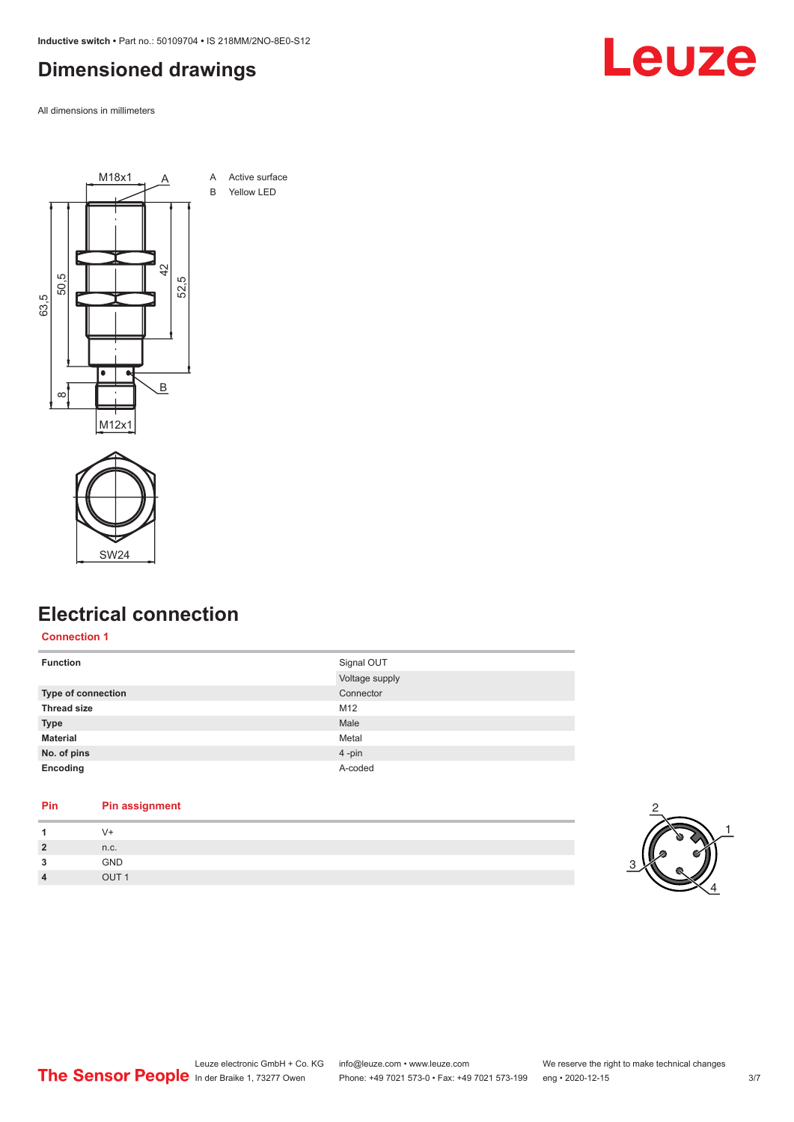<span id="page-2-0"></span>**Inductive switch •** Part no.: 50109704 **•** IS 218MM/2NO-8E0-S12

#### **Dimensioned drawings**

All dimensions in millimeters





#### **Electrical connection**

#### **Connection 1**

| <b>Function</b>    | Signal OUT     |
|--------------------|----------------|
|                    | Voltage supply |
| Type of connection | Connector      |
| <b>Thread size</b> | M12            |
| <b>Type</b>        | Male           |
| <b>Material</b>    | Metal          |
| No. of pins        | 4-pin          |
| Encoding           | A-coded        |

#### **Pin Pin assignment**

| 1              | $V +$            |
|----------------|------------------|
| $\overline{2}$ | n.c.             |
| 3              | GND              |
| $\overline{4}$ | OUT <sub>1</sub> |



# Leuze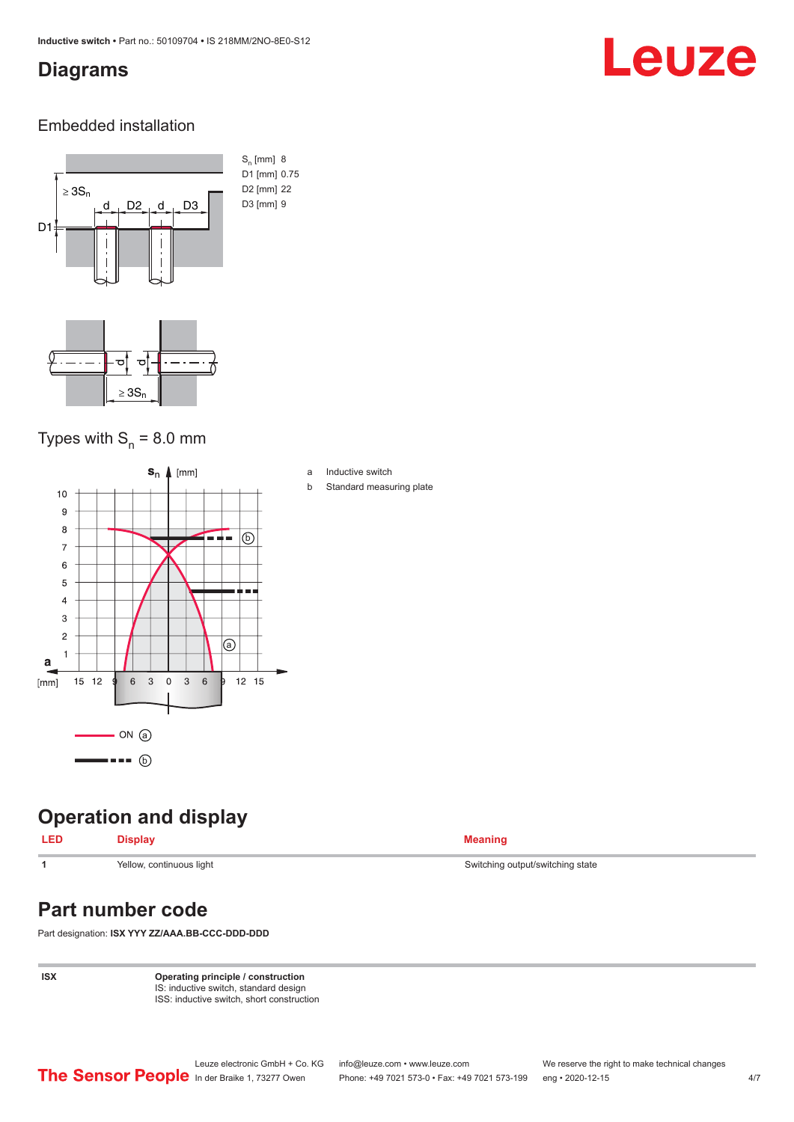#### <span id="page-3-0"></span>**Diagrams**

# Leuze

#### Embedded installation



#### Types with  $S_{n}$  = 8.0 mm



### **Operation and display**

#### **LED Display Meaning**

### **Part number code**

Part designation: **ISX YYY ZZ/AAA.BB-CCC-DDD-DDD**

**ISX Operating principle / construction** IS: inductive switch, standard design ISS: inductive switch, short construction

**1** Yellow, continuous light Switching state Switching output/switching state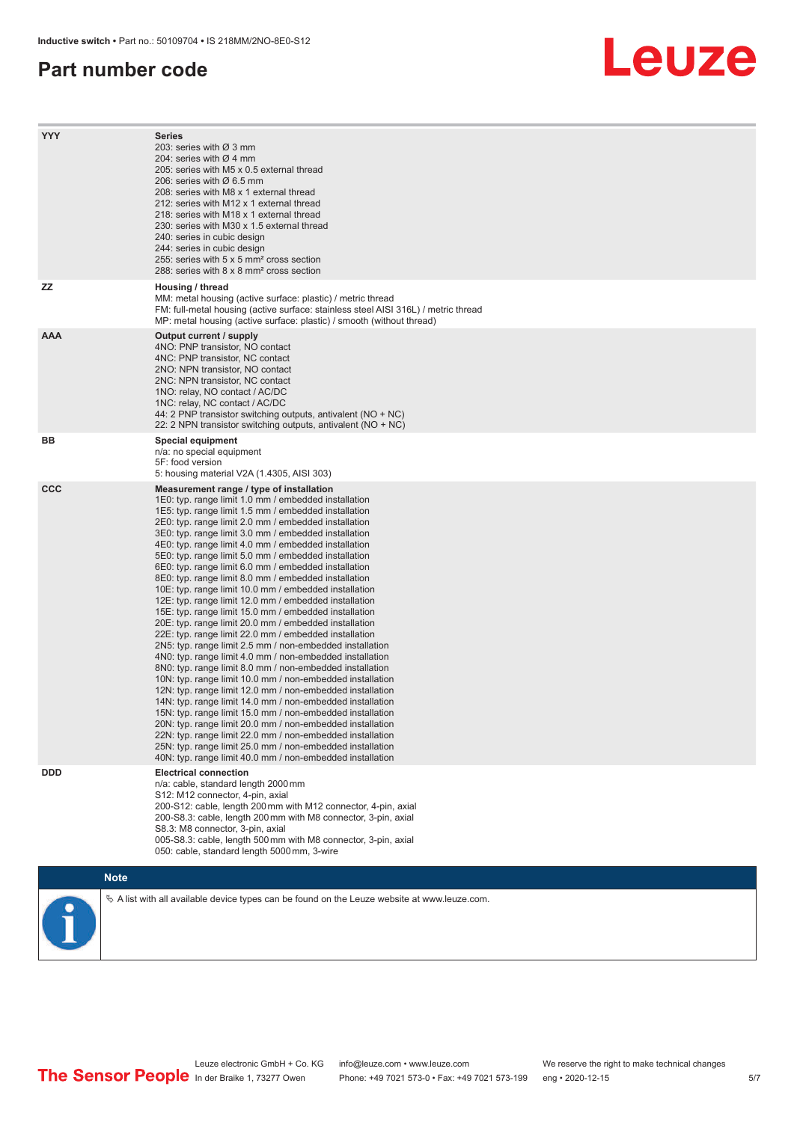#### **Part number code**

# Leuze

| <b>YYY</b> | <b>Series</b><br>203: series with Ø 3 mm<br>204: series with $\varnothing$ 4 mm<br>205: series with M5 x 0.5 external thread<br>206: series with $\varnothing$ 6.5 mm<br>208: series with M8 x 1 external thread<br>212: series with M12 x 1 external thread<br>218: series with M18 x 1 external thread<br>230: series with M30 x 1.5 external thread<br>240: series in cubic design<br>244: series in cubic design<br>255: series with 5 x 5 mm <sup>2</sup> cross section<br>288: series with 8 x 8 mm <sup>2</sup> cross section                                                                                                                                                                                                                                                                                                                                                                                                                                                                                                                                                                                                                                                                                                                                                                                                                                                                                                                                                              |
|------------|---------------------------------------------------------------------------------------------------------------------------------------------------------------------------------------------------------------------------------------------------------------------------------------------------------------------------------------------------------------------------------------------------------------------------------------------------------------------------------------------------------------------------------------------------------------------------------------------------------------------------------------------------------------------------------------------------------------------------------------------------------------------------------------------------------------------------------------------------------------------------------------------------------------------------------------------------------------------------------------------------------------------------------------------------------------------------------------------------------------------------------------------------------------------------------------------------------------------------------------------------------------------------------------------------------------------------------------------------------------------------------------------------------------------------------------------------------------------------------------------------|
| ΖZ         | Housing / thread<br>MM: metal housing (active surface: plastic) / metric thread<br>FM: full-metal housing (active surface: stainless steel AISI 316L) / metric thread<br>MP: metal housing (active surface: plastic) / smooth (without thread)                                                                                                                                                                                                                                                                                                                                                                                                                                                                                                                                                                                                                                                                                                                                                                                                                                                                                                                                                                                                                                                                                                                                                                                                                                                    |
| <b>AAA</b> | Output current / supply<br>4NO: PNP transistor, NO contact<br>4NC: PNP transistor, NC contact<br>2NO: NPN transistor, NO contact<br>2NC: NPN transistor, NC contact<br>1NO: relay, NO contact / AC/DC<br>1NC: relay, NC contact / AC/DC<br>44: 2 PNP transistor switching outputs, antivalent (NO + NC)<br>22: 2 NPN transistor switching outputs, antivalent (NO + NC)                                                                                                                                                                                                                                                                                                                                                                                                                                                                                                                                                                                                                                                                                                                                                                                                                                                                                                                                                                                                                                                                                                                           |
| BВ         | Special equipment<br>n/a: no special equipment<br>5F: food version<br>5: housing material V2A (1.4305, AISI 303)                                                                                                                                                                                                                                                                                                                                                                                                                                                                                                                                                                                                                                                                                                                                                                                                                                                                                                                                                                                                                                                                                                                                                                                                                                                                                                                                                                                  |
| <b>CCC</b> | Measurement range / type of installation<br>1E0: typ. range limit 1.0 mm / embedded installation<br>1E5: typ. range limit 1.5 mm / embedded installation<br>2E0: typ. range limit 2.0 mm / embedded installation<br>3E0: typ. range limit 3.0 mm / embedded installation<br>4E0: typ. range limit 4.0 mm / embedded installation<br>5E0: typ. range limit 5.0 mm / embedded installation<br>6E0: typ. range limit 6.0 mm / embedded installation<br>8E0: typ. range limit 8.0 mm / embedded installation<br>10E: typ. range limit 10.0 mm / embedded installation<br>12E: typ. range limit 12.0 mm / embedded installation<br>15E: typ. range limit 15.0 mm / embedded installation<br>20E: typ. range limit 20.0 mm / embedded installation<br>22E: typ. range limit 22.0 mm / embedded installation<br>2N5: typ. range limit 2.5 mm / non-embedded installation<br>4N0: typ. range limit 4.0 mm / non-embedded installation<br>8N0: typ. range limit 8.0 mm / non-embedded installation<br>10N: typ. range limit 10.0 mm / non-embedded installation<br>12N: typ. range limit 12.0 mm / non-embedded installation<br>14N: typ. range limit 14.0 mm / non-embedded installation<br>15N: typ. range limit 15.0 mm / non-embedded installation<br>20N: typ. range limit 20.0 mm / non-embedded installation<br>22N: typ. range limit 22.0 mm / non-embedded installation<br>25N: typ. range limit 25.0 mm / non-embedded installation<br>40N: typ. range limit 40.0 mm / non-embedded installation |
| <b>DDD</b> | <b>Electrical connection</b><br>n/a: cable, standard length 2000 mm<br>S12: M12 connector, 4-pin, axial<br>200-S12: cable, length 200 mm with M12 connector, 4-pin, axial<br>200-S8.3: cable, length 200 mm with M8 connector, 3-pin, axial<br>S8.3: M8 connector, 3-pin, axial<br>005-S8.3: cable, length 500 mm with M8 connector, 3-pin, axial<br>050: cable, standard length 5000 mm, 3-wire                                                                                                                                                                                                                                                                                                                                                                                                                                                                                                                                                                                                                                                                                                                                                                                                                                                                                                                                                                                                                                                                                                  |
|            | <b>Note</b>                                                                                                                                                                                                                                                                                                                                                                                                                                                                                                                                                                                                                                                                                                                                                                                                                                                                                                                                                                                                                                                                                                                                                                                                                                                                                                                                                                                                                                                                                       |
|            | $\&$ A list with all available device types can be found on the Leuze website at www.leuze.com.                                                                                                                                                                                                                                                                                                                                                                                                                                                                                                                                                                                                                                                                                                                                                                                                                                                                                                                                                                                                                                                                                                                                                                                                                                                                                                                                                                                                   |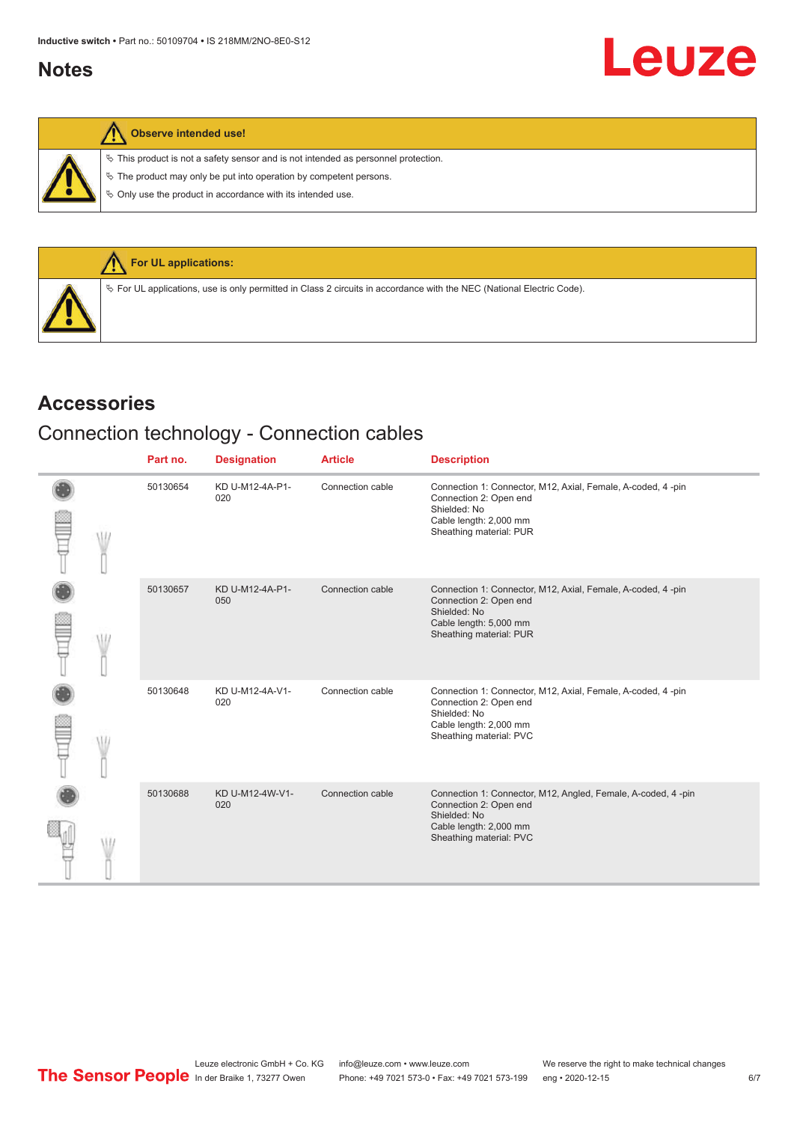#### <span id="page-5-0"></span>**Notes**

 $\%$  This product is not a safety sensor and is not intended as personnel protection.

 $\&$  The product may only be put into operation by competent persons.

 $\%$  Only use the product in accordance with its intended use.



#### **Accessories**

### Connection technology - Connection cables

|  | Part no. | <b>Designation</b>     | <b>Article</b>   | <b>Description</b>                                                                                                                                          |
|--|----------|------------------------|------------------|-------------------------------------------------------------------------------------------------------------------------------------------------------------|
|  | 50130654 | KD U-M12-4A-P1-<br>020 | Connection cable | Connection 1: Connector, M12, Axial, Female, A-coded, 4-pin<br>Connection 2: Open end<br>Shielded: No<br>Cable length: 2,000 mm<br>Sheathing material: PUR  |
|  | 50130657 | KD U-M12-4A-P1-<br>050 | Connection cable | Connection 1: Connector, M12, Axial, Female, A-coded, 4-pin<br>Connection 2: Open end<br>Shielded: No<br>Cable length: 5,000 mm<br>Sheathing material: PUR  |
|  | 50130648 | KD U-M12-4A-V1-<br>020 | Connection cable | Connection 1: Connector, M12, Axial, Female, A-coded, 4-pin<br>Connection 2: Open end<br>Shielded: No<br>Cable length: 2,000 mm<br>Sheathing material: PVC  |
|  | 50130688 | KD U-M12-4W-V1-<br>020 | Connection cable | Connection 1: Connector, M12, Angled, Female, A-coded, 4-pin<br>Connection 2: Open end<br>Shielded: No<br>Cable length: 2,000 mm<br>Sheathing material: PVC |

Leuze